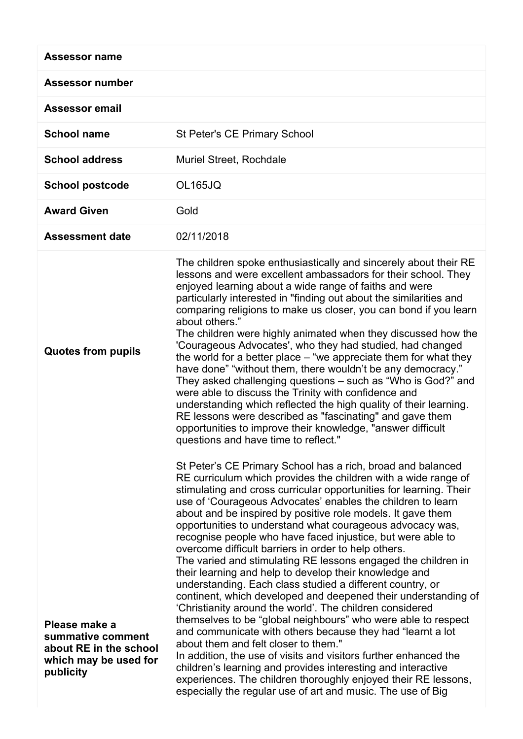| <b>Assessor name</b>                                                                               |                                                                                                                                                                                                                                                                                                                                                                                                                                                                                                                                                                                                                                                                                                                                                                                                                                                                                                                                                                                                                                                                                                                                                                                                                                                                                         |
|----------------------------------------------------------------------------------------------------|-----------------------------------------------------------------------------------------------------------------------------------------------------------------------------------------------------------------------------------------------------------------------------------------------------------------------------------------------------------------------------------------------------------------------------------------------------------------------------------------------------------------------------------------------------------------------------------------------------------------------------------------------------------------------------------------------------------------------------------------------------------------------------------------------------------------------------------------------------------------------------------------------------------------------------------------------------------------------------------------------------------------------------------------------------------------------------------------------------------------------------------------------------------------------------------------------------------------------------------------------------------------------------------------|
| <b>Assessor number</b>                                                                             |                                                                                                                                                                                                                                                                                                                                                                                                                                                                                                                                                                                                                                                                                                                                                                                                                                                                                                                                                                                                                                                                                                                                                                                                                                                                                         |
| <b>Assessor email</b>                                                                              |                                                                                                                                                                                                                                                                                                                                                                                                                                                                                                                                                                                                                                                                                                                                                                                                                                                                                                                                                                                                                                                                                                                                                                                                                                                                                         |
| <b>School name</b>                                                                                 | <b>St Peter's CE Primary School</b>                                                                                                                                                                                                                                                                                                                                                                                                                                                                                                                                                                                                                                                                                                                                                                                                                                                                                                                                                                                                                                                                                                                                                                                                                                                     |
| <b>School address</b>                                                                              | Muriel Street, Rochdale                                                                                                                                                                                                                                                                                                                                                                                                                                                                                                                                                                                                                                                                                                                                                                                                                                                                                                                                                                                                                                                                                                                                                                                                                                                                 |
| <b>School postcode</b>                                                                             | <b>OL165JQ</b>                                                                                                                                                                                                                                                                                                                                                                                                                                                                                                                                                                                                                                                                                                                                                                                                                                                                                                                                                                                                                                                                                                                                                                                                                                                                          |
| <b>Award Given</b>                                                                                 | Gold                                                                                                                                                                                                                                                                                                                                                                                                                                                                                                                                                                                                                                                                                                                                                                                                                                                                                                                                                                                                                                                                                                                                                                                                                                                                                    |
| <b>Assessment date</b>                                                                             | 02/11/2018                                                                                                                                                                                                                                                                                                                                                                                                                                                                                                                                                                                                                                                                                                                                                                                                                                                                                                                                                                                                                                                                                                                                                                                                                                                                              |
| <b>Quotes from pupils</b>                                                                          | The children spoke enthusiastically and sincerely about their RE<br>lessons and were excellent ambassadors for their school. They<br>enjoyed learning about a wide range of faiths and were<br>particularly interested in "finding out about the similarities and<br>comparing religions to make us closer, you can bond if you learn<br>about others."<br>The children were highly animated when they discussed how the<br>'Courageous Advocates', who they had studied, had changed<br>the world for a better place $-$ "we appreciate them for what they<br>have done" "without them, there wouldn't be any democracy."<br>They asked challenging questions - such as "Who is God?" and<br>were able to discuss the Trinity with confidence and<br>understanding which reflected the high quality of their learning.<br>RE lessons were described as "fascinating" and gave them<br>opportunities to improve their knowledge, "answer difficult"<br>questions and have time to reflect."                                                                                                                                                                                                                                                                                             |
| Please make a<br>summative comment<br>about RE in the school<br>which may be used for<br>publicity | St Peter's CE Primary School has a rich, broad and balanced<br>RE curriculum which provides the children with a wide range of<br>stimulating and cross curricular opportunities for learning. Their<br>use of 'Courageous Advocates' enables the children to learn<br>about and be inspired by positive role models. It gave them<br>opportunities to understand what courageous advocacy was,<br>recognise people who have faced injustice, but were able to<br>overcome difficult barriers in order to help others.<br>The varied and stimulating RE lessons engaged the children in<br>their learning and help to develop their knowledge and<br>understanding. Each class studied a different country, or<br>continent, which developed and deepened their understanding of<br>'Christianity around the world'. The children considered<br>themselves to be "global neighbours" who were able to respect<br>and communicate with others because they had "learnt a lot<br>about them and felt closer to them."<br>In addition, the use of visits and visitors further enhanced the<br>children's learning and provides interesting and interactive<br>experiences. The children thoroughly enjoyed their RE lessons,<br>especially the regular use of art and music. The use of Big |